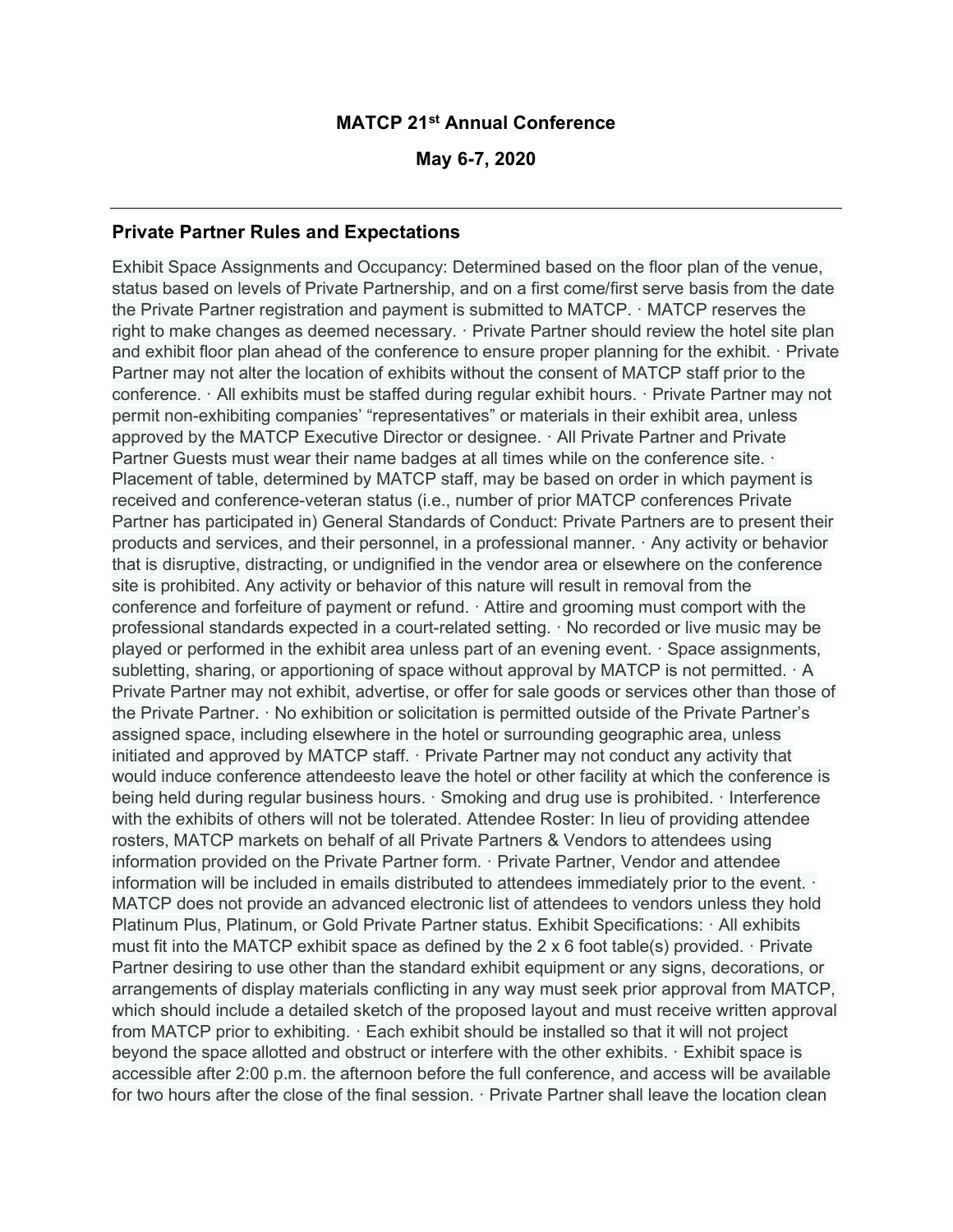## MATCP 21st Annual Conference

May 6-7, 2020

## Private Partner Rules and Expectations

Exhibit Space Assignments and Occupancy: Determined based on the floor plan of the venue, status based on levels of Private Partnership, and on a first come/first serve basis from the date the Private Partner registration and payment is submitted to MATCP. · MATCP reserves the right to make changes as deemed necessary. · Private Partner should review the hotel site plan and exhibit floor plan ahead of the conference to ensure proper planning for the exhibit. · Private Partner may not alter the location of exhibits without the consent of MATCP staff prior to the conference. · All exhibits must be staffed during regular exhibit hours. · Private Partner may not permit non-exhibiting companies' "representatives" or materials in their exhibit area, unless approved by the MATCP Executive Director or designee. · All Private Partner and Private Partner Guests must wear their name badges at all times while on the conference site.  $\cdot$ Placement of table, determined by MATCP staff, may be based on order in which payment is received and conference-veteran status (i.e., number of prior MATCP conferences Private Partner has participated in) General Standards of Conduct: Private Partners are to present their products and services, and their personnel, in a professional manner. · Any activity or behavior that is disruptive, distracting, or undignified in the vendor area or elsewhere on the conference site is prohibited. Any activity or behavior of this nature will result in removal from the conference and forfeiture of payment or refund. · Attire and grooming must comport with the professional standards expected in a court-related setting. · No recorded or live music may be played or performed in the exhibit area unless part of an evening event. · Space assignments, subletting, sharing, or apportioning of space without approval by MATCP is not permitted. A Private Partner may not exhibit, advertise, or offer for sale goods or services other than those of the Private Partner. · No exhibition or solicitation is permitted outside of the Private Partner's assigned space, including elsewhere in the hotel or surrounding geographic area, unless initiated and approved by MATCP staff. · Private Partner may not conduct any activity that would induce conference attendeesto leave the hotel or other facility at which the conference is being held during regular business hours. · Smoking and drug use is prohibited. · Interference with the exhibits of others will not be tolerated. Attendee Roster: In lieu of providing attendee rosters, MATCP markets on behalf of all Private Partners & Vendors to attendees using information provided on the Private Partner form. · Private Partner, Vendor and attendee information will be included in emails distributed to attendees immediately prior to the event. · MATCP does not provide an advanced electronic list of attendees to vendors unless they hold Platinum Plus, Platinum, or Gold Private Partner status. Exhibit Specifications: · All exhibits must fit into the MATCP exhibit space as defined by the 2 x 6 foot table(s) provided. · Private Partner desiring to use other than the standard exhibit equipment or any signs, decorations, or arrangements of display materials conflicting in any way must seek prior approval from MATCP, which should include a detailed sketch of the proposed layout and must receive written approval from MATCP prior to exhibiting. · Each exhibit should be installed so that it will not project beyond the space allotted and obstruct or interfere with the other exhibits. · Exhibit space is accessible after 2:00 p.m. the afternoon before the full conference, and access will be available for two hours after the close of the final session. · Private Partner shall leave the location clean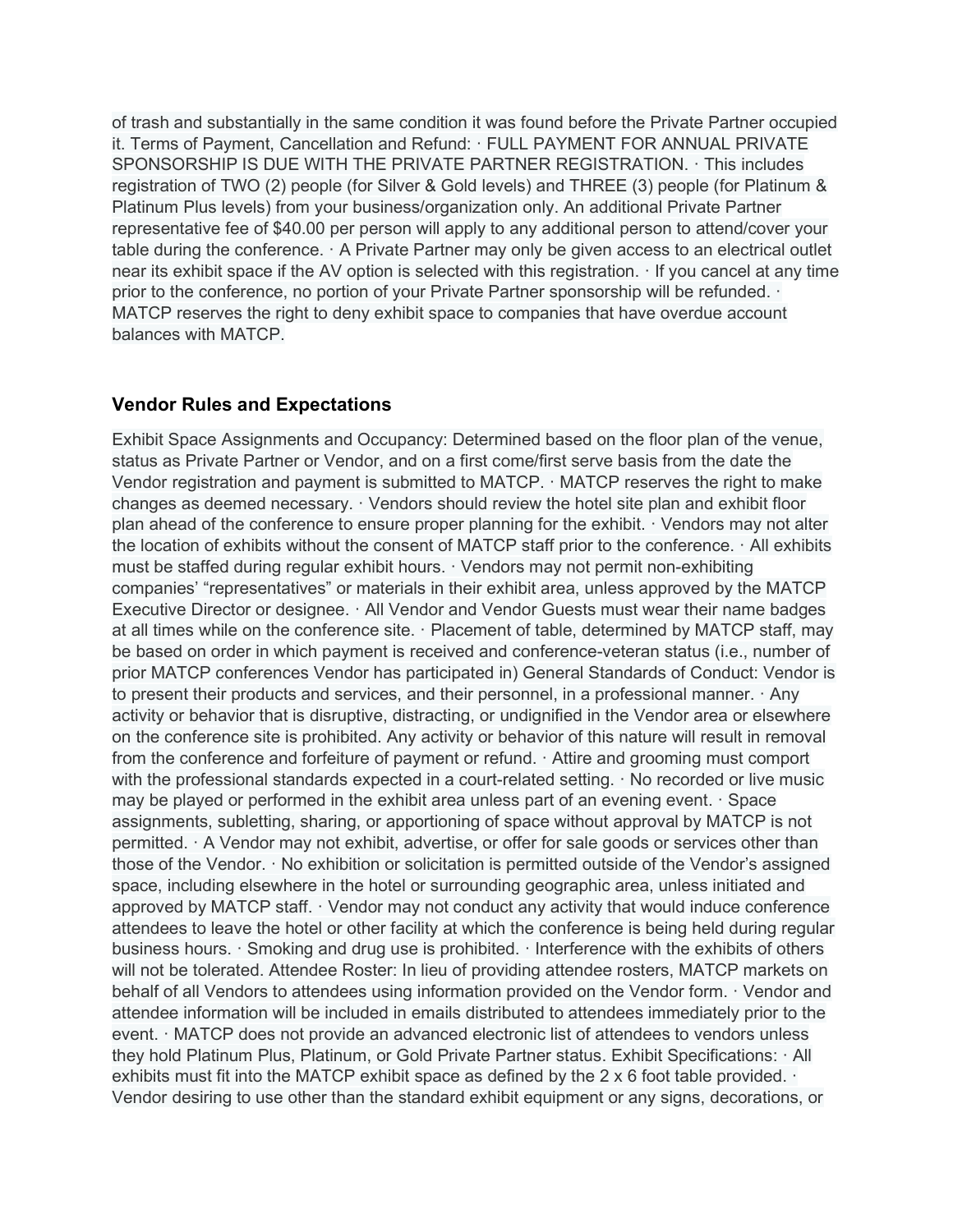of trash and substantially in the same condition it was found before the Private Partner occupied it. Terms of Payment, Cancellation and Refund: · FULL PAYMENT FOR ANNUAL PRIVATE SPONSORSHIP IS DUE WITH THE PRIVATE PARTNER REGISTRATION. · This includes registration of TWO (2) people (for Silver & Gold levels) and THREE (3) people (for Platinum & Platinum Plus levels) from your business/organization only. An additional Private Partner representative fee of \$40.00 per person will apply to any additional person to attend/cover your table during the conference.  $\cdot$  A Private Partner may only be given access to an electrical outlet near its exhibit space if the AV option is selected with this registration. · If you cancel at any time prior to the conference, no portion of your Private Partner sponsorship will be refunded. · MATCP reserves the right to deny exhibit space to companies that have overdue account balances with MATCP.

## Vendor Rules and Expectations

Exhibit Space Assignments and Occupancy: Determined based on the floor plan of the venue, status as Private Partner or Vendor, and on a first come/first serve basis from the date the Vendor registration and payment is submitted to MATCP.  $\cdot$  MATCP reserves the right to make changes as deemed necessary. · Vendors should review the hotel site plan and exhibit floor plan ahead of the conference to ensure proper planning for the exhibit. · Vendors may not alter the location of exhibits without the consent of MATCP staff prior to the conference. · All exhibits must be staffed during regular exhibit hours. · Vendors may not permit non-exhibiting companies' "representatives" or materials in their exhibit area, unless approved by the MATCP Executive Director or designee. · All Vendor and Vendor Guests must wear their name badges at all times while on the conference site. · Placement of table, determined by MATCP staff, may be based on order in which payment is received and conference-veteran status (i.e., number of prior MATCP conferences Vendor has participated in) General Standards of Conduct: Vendor is to present their products and services, and their personnel, in a professional manner. · Any activity or behavior that is disruptive, distracting, or undignified in the Vendor area or elsewhere on the conference site is prohibited. Any activity or behavior of this nature will result in removal from the conference and forfeiture of payment or refund. · Attire and grooming must comport with the professional standards expected in a court-related setting. · No recorded or live music may be played or performed in the exhibit area unless part of an evening event. · Space assignments, subletting, sharing, or apportioning of space without approval by MATCP is not permitted. · A Vendor may not exhibit, advertise, or offer for sale goods or services other than those of the Vendor. · No exhibition or solicitation is permitted outside of the Vendor's assigned space, including elsewhere in the hotel or surrounding geographic area, unless initiated and approved by MATCP staff. · Vendor may not conduct any activity that would induce conference attendees to leave the hotel or other facility at which the conference is being held during regular business hours. · Smoking and drug use is prohibited. · Interference with the exhibits of others will not be tolerated. Attendee Roster: In lieu of providing attendee rosters, MATCP markets on behalf of all Vendors to attendees using information provided on the Vendor form. · Vendor and attendee information will be included in emails distributed to attendees immediately prior to the event. · MATCP does not provide an advanced electronic list of attendees to vendors unless they hold Platinum Plus, Platinum, or Gold Private Partner status. Exhibit Specifications: · All exhibits must fit into the MATCP exhibit space as defined by the 2 x 6 foot table provided. · Vendor desiring to use other than the standard exhibit equipment or any signs, decorations, or